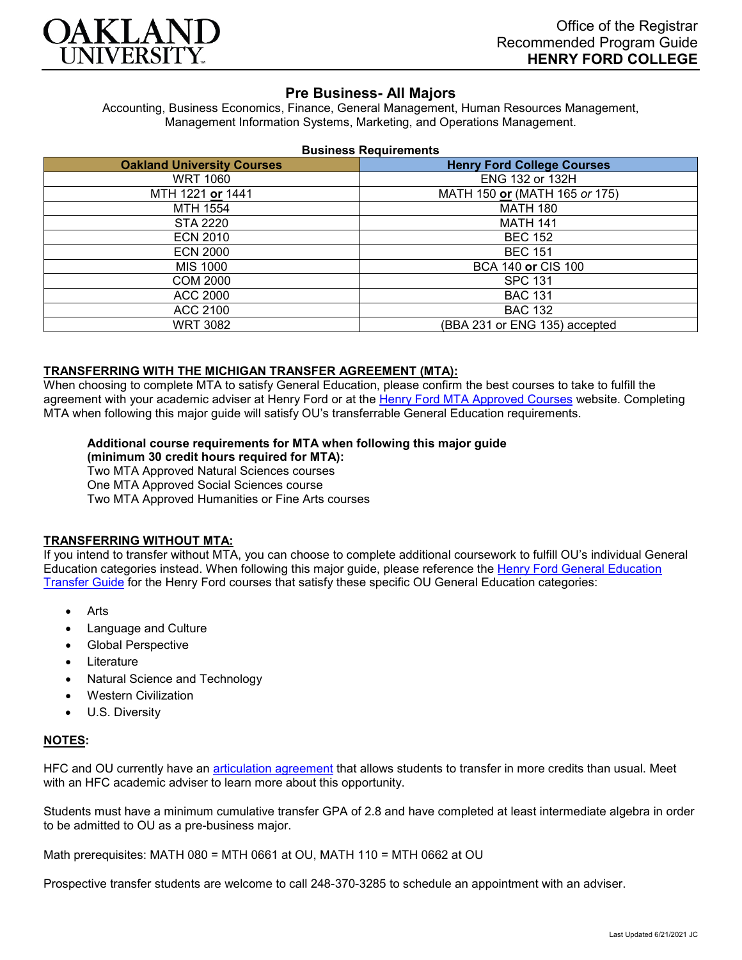

## **Pre Business- All Majors**

Accounting, Business Economics, Finance, General Management, Human Resources Management, Management Information Systems, Marketing, and Operations Management.

#### **Business Requirements**

| <b>Oakland University Courses</b> | <b>Henry Ford College Courses</b> |
|-----------------------------------|-----------------------------------|
| <b>WRT 1060</b>                   | ENG 132 or 132H                   |
| MTH 1221 or 1441                  | MATH 150 or (MATH 165 or 175)     |
| MTH 1554                          | <b>MATH 180</b>                   |
| STA 2220                          | <b>MATH 141</b>                   |
| <b>ECN 2010</b>                   | <b>BEC 152</b>                    |
| <b>ECN 2000</b>                   | <b>BEC 151</b>                    |
| MIS 1000                          | BCA 140 or CIS 100                |
| <b>COM 2000</b>                   | <b>SPC 131</b>                    |
| ACC 2000                          | <b>BAC 131</b>                    |
| ACC 2100                          | <b>BAC 132</b>                    |
| <b>WRT 3082</b>                   | (BBA 231 or ENG 135) accepted     |

### **TRANSFERRING WITH THE MICHIGAN TRANSFER AGREEMENT (MTA):**

When choosing to complete MTA to satisfy General Education, please confirm the best courses to take to fulfill the agreement with your academic adviser at Henry Ford or at the [Henry Ford MTA Approved Courses](https://www.hfcc.edu/registration-and-records/mta/hfc-agreement) website. Completing MTA when following this major guide will satisfy OU's transferrable General Education requirements.

# **Additional course requirements for MTA when following this major guide**

**(minimum 30 credit hours required for MTA):** Two MTA Approved Natural Sciences courses One MTA Approved Social Sciences course Two MTA Approved Humanities or Fine Arts courses

### **TRANSFERRING WITHOUT MTA:**

If you intend to transfer without MTA, you can choose to complete additional coursework to fulfill OU's individual General Education categories instead. When following this major guide, please reference the [Henry Ford General Education](https://www.oakland.edu/Assets/Oakland/program-guides/henry-ford-college/university-general-education-requirements/Henry%20Ford%20Gen%20Ed.pdf)  [Transfer Guide](https://www.oakland.edu/Assets/Oakland/program-guides/henry-ford-college/university-general-education-requirements/Henry%20Ford%20Gen%20Ed.pdf) for the Henry Ford courses that satisfy these specific OU General Education categories:

- **Arts**
- Language and Culture
- Global Perspective
- **Literature**
- Natural Science and Technology
- Western Civilization
- U.S. Diversity

### **NOTES:**

HFC and OU currently have an [articulation](https://www.oakland.edu/Assets/Oakland/articulation-agreements/henry-ford-college/HFC%20BUS%20AA.pdf) agreement that allows students to transfer in more credits than usual. Meet with an HFC academic adviser to learn more about this opportunity.

Students must have a minimum cumulative transfer GPA of 2.8 and have completed at least intermediate algebra in order to be admitted to OU as a pre-business major.

Math prerequisites: MATH 080 = MTH 0661 at OU, MATH 110 = MTH 0662 at OU

Prospective transfer students are welcome to call 248-370-3285 to schedule an appointment with an adviser.